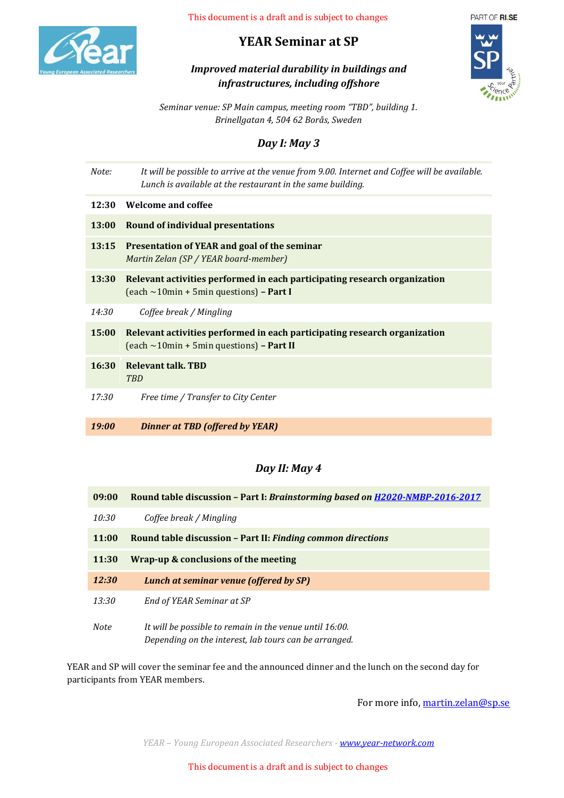

# **YEAR Seminar at SP**

# *Improved material durability in buildings and infrastructures, including offshore*



*Seminar venue: SP Main campus, meeting room "TBD", building 1. Brinellgatan 4, 504 62 Borås, Sweden*

### *Day I: May 3*

| Note:        | It will be possible to arrive at the venue from 9.00. Internet and Coffee will be available.<br>Lunch is available at the restaurant in the same building. |
|--------------|------------------------------------------------------------------------------------------------------------------------------------------------------------|
| 12:30        | <b>Welcome and coffee</b>                                                                                                                                  |
| <b>13:00</b> | <b>Round of individual presentations</b>                                                                                                                   |
| 13:15        | Presentation of YEAR and goal of the seminar<br>Martin Zelan (SP / YEAR board-member)                                                                      |
| 13:30        | Relevant activities performed in each participating research organization<br>(each $\sim$ 10min + 5min questions) – Part I                                 |
| 14:30        | Coffee break / Mingling                                                                                                                                    |
| 15:00        | Relevant activities performed in each participating research organization<br>$\text{(each } \sim 10\text{min} + 5\text{min questions)} - \text{Part II}$   |
| 16:30        | <b>Relevant talk. TBD</b><br><b>TBD</b>                                                                                                                    |
| 17:30        | Free time / Transfer to City Center                                                                                                                        |
| 19:00        | <b>Dinner at TBD (offered by YEAR)</b>                                                                                                                     |

### *Day II: May 4*

| 09:00       | Round table discussion - Part I: Brainstorming based on H2020-NMBP-2016-2017                                     |
|-------------|------------------------------------------------------------------------------------------------------------------|
| 10:30       | Coffee break / Mingling                                                                                          |
| 11:00       | Round table discussion - Part II: Finding common directions                                                      |
| 11:30       | Wrap-up & conclusions of the meeting                                                                             |
| 12:30       | Lunch at seminar venue (offered by SP)                                                                           |
| 13:30       | End of YEAR Seminar at SP                                                                                        |
| <b>Note</b> | It will be possible to remain in the venue until 16:00.<br>Depending on the interest, lab tours can be arranged. |

YEAR and SP will cover the seminar fee and the announced dinner and the lunch on the second day for participants from YEAR members.

For more info[, martin.zelan@sp.se](mailto:martin.zelan@sp.se)

*YEAR – Young European Associated Researchers - [www.year-network.com](http://www.year-network.com/)*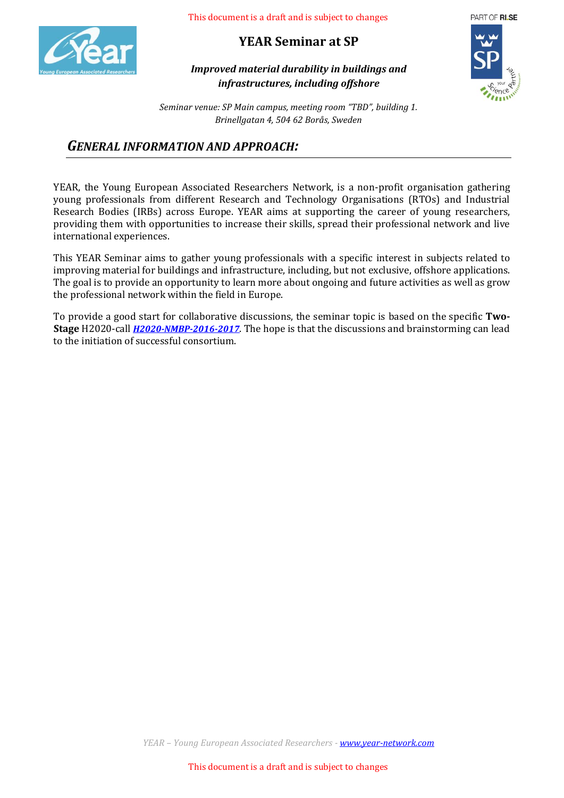

**YEAR Seminar at SP**

PART OF RISE

*Improved material durability in buildings and infrastructures, including offshore*

*Seminar venue: SP Main campus, meeting room "TBD", building 1. Brinellgatan 4, 504 62 Borås, Sweden*

### *GENERAL INFORMATION AND APPROACH:*

YEAR, the Young European Associated Researchers Network, is a non-profit organisation gathering young professionals from different Research and Technology Organisations (RTOs) and Industrial Research Bodies (IRBs) across Europe. YEAR aims at supporting the career of young researchers, providing them with opportunities to increase their skills, spread their professional network and live international experiences.

This YEAR Seminar aims to gather young professionals with a specific interest in subjects related to improving material for buildings and infrastructure, including, but not exclusive, offshore applications. The goal is to provide an opportunity to learn more about ongoing and future activities as well as grow the professional network within the field in Europe.

To provide a good start for collaborative discussions, the seminar topic is based on the specific **Two-Stage** H2020-call *[H2020-NMBP-2016-2017](http://ec.europa.eu/research/participants/portal/desktop/en/opportunities/h2020/topics/2393-nmbp-06-2017.html)*. The hope is that the discussions and brainstorming can lead to the initiation of successful consortium.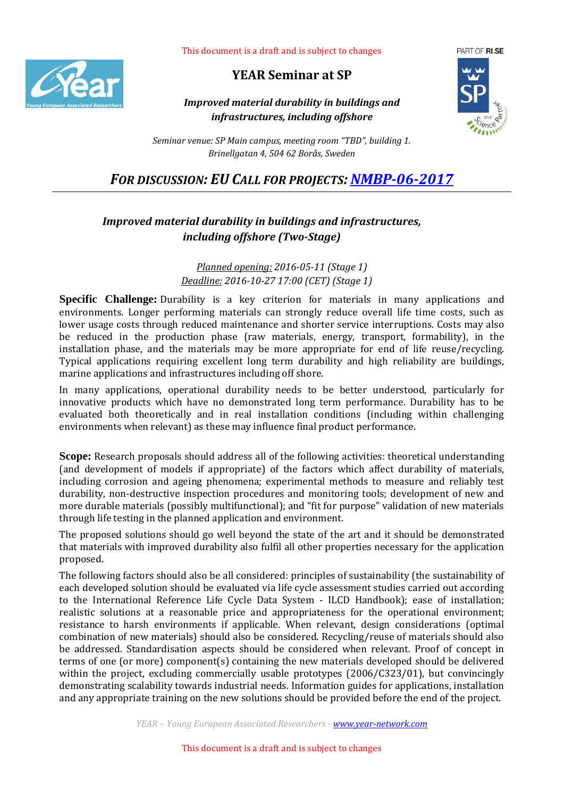

### **YEAR Seminar at SP**

#### *Improved material durability in buildings and infrastructures, including offshore*



*Seminar venue: SP Main campus, meeting room "TBD", building 1. Brinellgatan 4, 504 62 Borås, Sweden*

*FOR DISCUSSION: EU CALL FOR PROJECTS: [NMBP-06-2017](http://ec.europa.eu/research/participants/portal/desktop/en/opportunities/h2020/topics/2393-nmbp-06-2017.html)*

### *Improved material durability in buildings and infrastructures, including offshore (Two-Stage)*

*Planned opening: 2016-05-11 (Stage 1) Deadline: 2016-10-27 17:00 (CET) (Stage 1)*

**Specific Challenge:** Durability is a key criterion for materials in many applications and environments. Longer performing materials can strongly reduce overall life time costs, such as lower usage costs through reduced maintenance and shorter service interruptions. Costs may also be reduced in the production phase (raw materials, energy, transport, formability), in the installation phase, and the materials may be more appropriate for end of life reuse/recycling. Typical applications requiring excellent long term durability and high reliability are buildings, marine applications and infrastructures including off shore.

In many applications, operational durability needs to be better understood, particularly for innovative products which have no demonstrated long term performance. Durability has to be evaluated both theoretically and in real installation conditions (including within challenging environments when relevant) as these may influence final product performance.

**Scope:** Research proposals should address all of the following activities: theoretical understanding (and development of models if appropriate) of the factors which affect durability of materials, including corrosion and ageing phenomena; experimental methods to measure and reliably test durability, non-destructive inspection procedures and monitoring tools; development of new and more durable materials (possibly multifunctional); and "fit for purpose" validation of new materials through life testing in the planned application and environment.

The proposed solutions should go well beyond the state of the art and it should be demonstrated that materials with improved durability also fulfil all other properties necessary for the application proposed.

The following factors should also be all considered: principles of sustainability (the sustainability of each developed solution should be evaluated via life cycle assessment studies carried out according to the International Reference Life Cycle Data System - ILCD Handbook); ease of installation; realistic solutions at a reasonable price and appropriateness for the operational environment; resistance to harsh environments if applicable. When relevant, design considerations (optimal combination of new materials) should also be considered. Recycling/reuse of materials should also be addressed. Standardisation aspects should be considered when relevant. Proof of concept in terms of one (or more) component(s) containing the new materials developed should be delivered within the project, excluding commercially usable prototypes (2006/C323/01), but convincingly demonstrating scalability towards industrial needs. Information guides for applications, installation and any appropriate training on the new solutions should be provided before the end of the project.

*YEAR – Young European Associated Researchers - [www.year-network.com](http://www.year-network.com/)*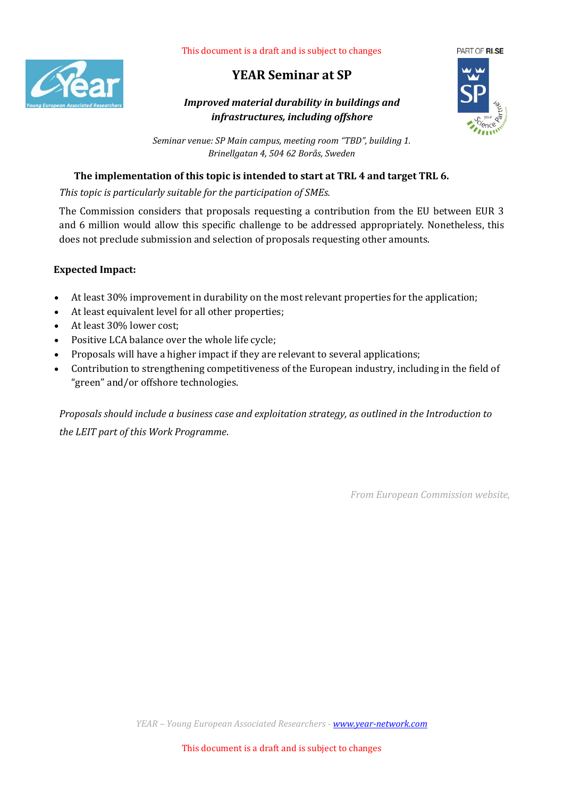

# **YEAR Seminar at SP**

*Improved material durability in buildings and infrastructures, including offshore*



*Seminar venue: SP Main campus, meeting room "TBD", building 1. Brinellgatan 4, 504 62 Borås, Sweden*

#### **The implementation of this topic is intended to start at TRL 4 and target TRL 6.**

*This topic is particularly suitable for the participation of SMEs.*

The Commission considers that proposals requesting a contribution from the EU between EUR 3 and 6 million would allow this specific challenge to be addressed appropriately. Nonetheless, this does not preclude submission and selection of proposals requesting other amounts.

#### **Expected Impact:**

- At least 30% improvement in durability on the most relevant properties for the application;
- At least equivalent level for all other properties;
- At least 30% lower cost:
- Positive LCA balance over the whole life cycle:
- Proposals will have a higher impact if they are relevant to several applications;
- Contribution to strengthening competitiveness of the European industry, including in the field of "green" and/or offshore technologies.

*Proposals should include a business case and exploitation strategy, as outlined in the Introduction to the LEIT part of this Work Programme*.

*From European Commission website,*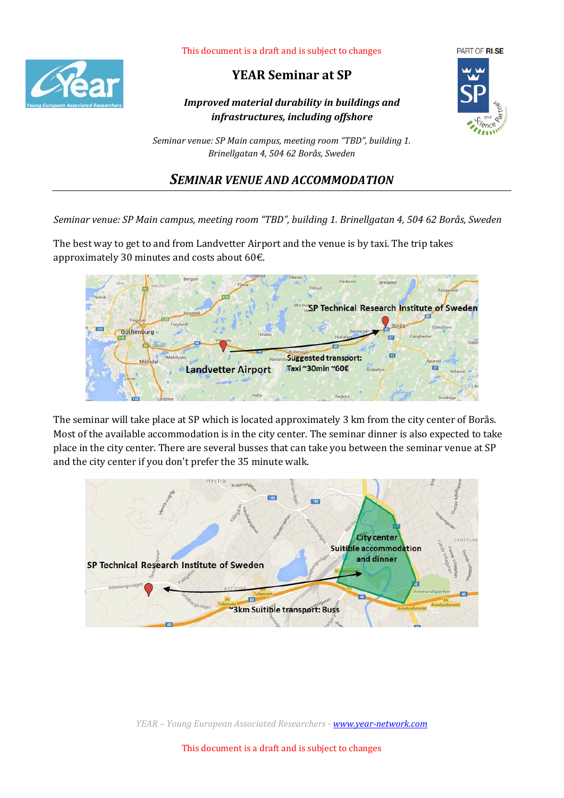

### **YEAR Seminar at SP**

*Improved material durability in buildings and infrastructures, including offshore*



*Seminar venue: SP Main campus, meeting room "TBD", building 1. Brinellgatan 4, 504 62 Borås, Sweden*

### *SEMINAR VENUE AND ACCOMMODATION*

*Seminar venue: SP Main campus, meeting room "TBD", building 1. Brinellgatan 4, 504 62 Borås, Sweden*

The best way to get to and from Landvetter Airport and the venue is by taxi. The trip takes approximately 30 minutes and costs about 60€.



The seminar will take place at SP which is located approximately 3 km from the city center of Borås. Most of the available accommodation is in the city center. The seminar dinner is also expected to take place in the city center. There are several busses that can take you between the seminar venue at SP and the city center if you don't prefer the 35 minute walk.



*YEAR – Young European Associated Researchers - [www.year-network.com](http://www.year-network.com/)*

This document is a draft and is subject to changes